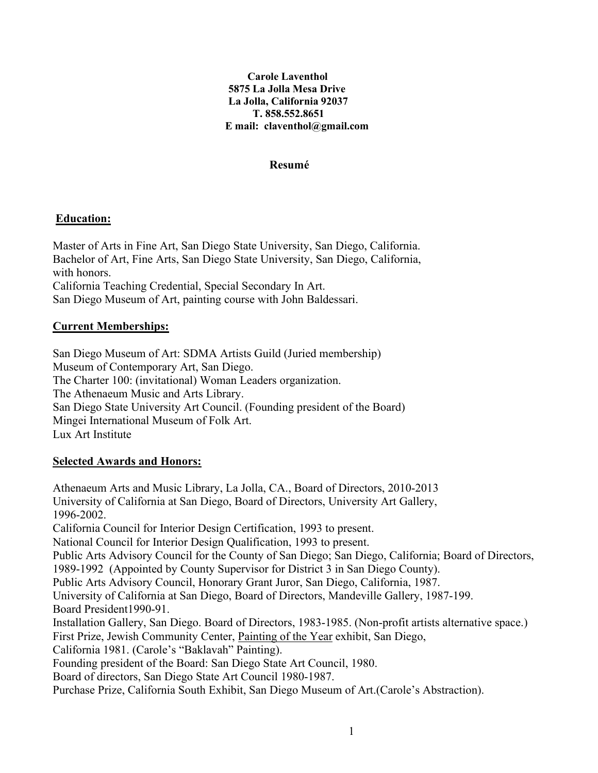#### **Carole Laventhol 5875 La Jolla Mesa Drive La Jolla, California 92037 T. 858.552.8651 E mail: claventhol@gmail.com**

#### **Resumé**

#### **Education:**

Master of Arts in Fine Art, San Diego State University, San Diego, California. Bachelor of Art, Fine Arts, San Diego State University, San Diego, California, with honors. California Teaching Credential, Special Secondary In Art.

San Diego Museum of Art, painting course with John Baldessari.

## **Current Memberships:**

San Diego Museum of Art: SDMA Artists Guild (Juried membership) Museum of Contemporary Art, San Diego. The Charter 100: (invitational) Woman Leaders organization. The Athenaeum Music and Arts Library. San Diego State University Art Council. (Founding president of the Board) Mingei International Museum of Folk Art. Lux Art Institute

#### **Selected Awards and Honors:**

Athenaeum Arts and Music Library, La Jolla, CA., Board of Directors, 2010-2013 University of California at San Diego, Board of Directors, University Art Gallery, 1996-2002. California Council for Interior Design Certification, 1993 to present. National Council for Interior Design Qualification, 1993 to present. Public Arts Advisory Council for the County of San Diego; San Diego, California; Board of Directors, 1989-1992 (Appointed by County Supervisor for District 3 in San Diego County). Public Arts Advisory Council, Honorary Grant Juror, San Diego, California, 1987. University of California at San Diego, Board of Directors, Mandeville Gallery, 1987-199. Board President1990-91. Installation Gallery, San Diego. Board of Directors, 1983-1985. (Non-profit artists alternative space.) First Prize, Jewish Community Center, Painting of the Year exhibit, San Diego, California 1981. (Carole's "Baklavah" Painting). Founding president of the Board: San Diego State Art Council, 1980. Board of directors, San Diego State Art Council 1980-1987. Purchase Prize, California South Exhibit, San Diego Museum of Art.(Carole's Abstraction).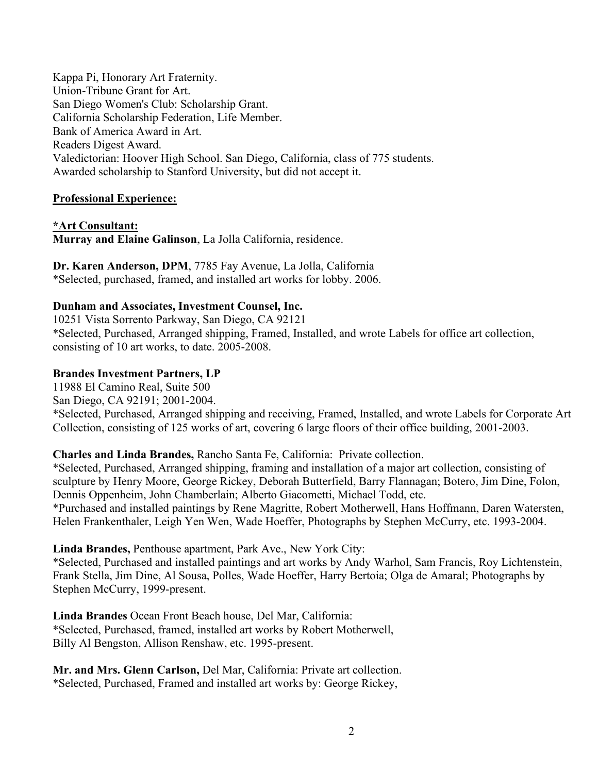Kappa Pi, Honorary Art Fraternity. Union-Tribune Grant for Art. San Diego Women's Club: Scholarship Grant. California Scholarship Federation, Life Member. Bank of America Award in Art. Readers Digest Award. Valedictorian: Hoover High School. San Diego, California, class of 775 students. Awarded scholarship to Stanford University, but did not accept it.

# **Professional Experience:**

**\*Art Consultant: Murray and Elaine Galinson**, La Jolla California, residence.

**Dr. Karen Anderson, DPM**, 7785 Fay Avenue, La Jolla, California \*Selected, purchased, framed, and installed art works for lobby. 2006.

# **Dunham and Associates, Investment Counsel, Inc.**

10251 Vista Sorrento Parkway, San Diego, CA 92121 \*Selected, Purchased, Arranged shipping, Framed, Installed, and wrote Labels for office art collection, consisting of 10 art works, to date. 2005-2008.

# **Brandes Investment Partners, LP**

11988 El Camino Real, Suite 500

San Diego, CA 92191; 2001-2004.

\*Selected, Purchased, Arranged shipping and receiving, Framed, Installed, and wrote Labels for Corporate Art Collection, consisting of 125 works of art, covering 6 large floors of their office building, 2001-2003.

## **Charles and Linda Brandes,** Rancho Santa Fe, California: Private collection.

\*Selected, Purchased, Arranged shipping, framing and installation of a major art collection, consisting of sculpture by Henry Moore, George Rickey, Deborah Butterfield, Barry Flannagan; Botero, Jim Dine, Folon, Dennis Oppenheim, John Chamberlain; Alberto Giacometti, Michael Todd, etc.

\*Purchased and installed paintings by Rene Magritte, Robert Motherwell, Hans Hoffmann, Daren Watersten, Helen Frankenthaler, Leigh Yen Wen, Wade Hoeffer, Photographs by Stephen McCurry, etc. 1993-2004.

## **Linda Brandes,** Penthouse apartment, Park Ave., New York City:

\*Selected, Purchased and installed paintings and art works by Andy Warhol, Sam Francis, Roy Lichtenstein, Frank Stella, Jim Dine, Al Sousa, Polles, Wade Hoeffer, Harry Bertoia; Olga de Amaral; Photographs by Stephen McCurry, 1999-present.

**Linda Brandes** Ocean Front Beach house, Del Mar, California: \*Selected, Purchased, framed, installed art works by Robert Motherwell, Billy Al Bengston, Allison Renshaw, etc. 1995-present.

**Mr. and Mrs. Glenn Carlson,** Del Mar, California: Private art collection. \*Selected, Purchased, Framed and installed art works by: George Rickey,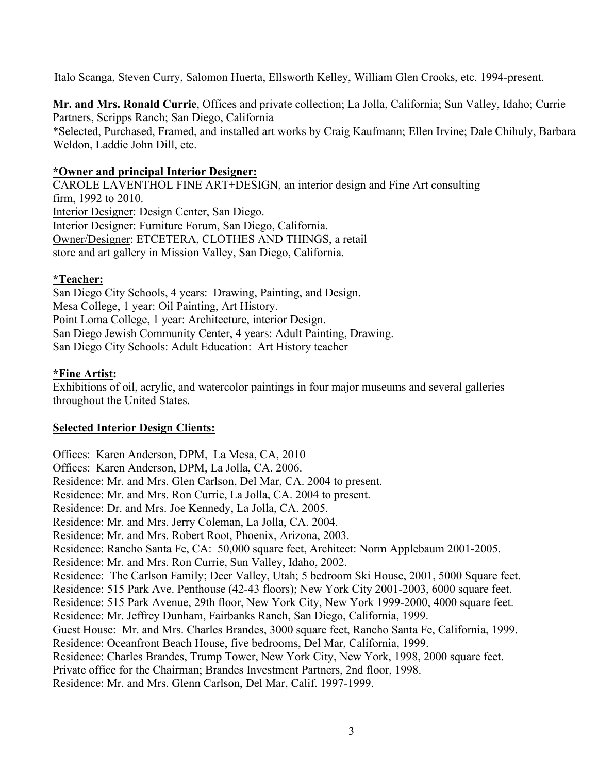Italo Scanga, Steven Curry, Salomon Huerta, Ellsworth Kelley, William Glen Crooks, etc. 1994-present.

**Mr. and Mrs. Ronald Currie**, Offices and private collection; La Jolla, California; Sun Valley, Idaho; Currie Partners, Scripps Ranch; San Diego, California \*Selected, Purchased, Framed, and installed art works by Craig Kaufmann; Ellen Irvine; Dale Chihuly, Barbara Weldon, Laddie John Dill, etc.

## **\*Owner and principal Interior Designer:**

CAROLE LAVENTHOL FINE ART+DESIGN, an interior design and Fine Art consulting firm, 1992 to 2010. Interior Designer: Design Center, San Diego. Interior Designer: Furniture Forum, San Diego, California. Owner/Designer: ETCETERA, CLOTHES AND THINGS, a retail store and art gallery in Mission Valley, San Diego, California.

# **\*Teacher:**

San Diego City Schools, 4 years: Drawing, Painting, and Design. Mesa College, 1 year: Oil Painting, Art History. Point Loma College, 1 year: Architecture, interior Design. San Diego Jewish Community Center, 4 years: Adult Painting, Drawing. San Diego City Schools: Adult Education: Art History teacher

## **\*Fine Artist:**

Exhibitions of oil, acrylic, and watercolor paintings in four major museums and several galleries throughout the United States.

## **Selected Interior Design Clients:**

Offices: Karen Anderson, DPM, La Mesa, CA, 2010 Offices: Karen Anderson, DPM, La Jolla, CA. 2006. Residence: Mr. and Mrs. Glen Carlson, Del Mar, CA. 2004 to present. Residence: Mr. and Mrs. Ron Currie, La Jolla, CA. 2004 to present. Residence: Dr. and Mrs. Joe Kennedy, La Jolla, CA. 2005. Residence: Mr. and Mrs. Jerry Coleman, La Jolla, CA. 2004. Residence: Mr. and Mrs. Robert Root, Phoenix, Arizona, 2003. Residence: Rancho Santa Fe, CA: 50,000 square feet, Architect: Norm Applebaum 2001-2005. Residence: Mr. and Mrs. Ron Currie, Sun Valley, Idaho, 2002. Residence: The Carlson Family; Deer Valley, Utah; 5 bedroom Ski House, 2001, 5000 Square feet. Residence: 515 Park Ave. Penthouse (42-43 floors); New York City 2001-2003, 6000 square feet. Residence: 515 Park Avenue, 29th floor, New York City, New York 1999-2000, 4000 square feet. Residence: Mr. Jeffrey Dunham, Fairbanks Ranch, San Diego, California, 1999. Guest House: Mr. and Mrs. Charles Brandes, 3000 square feet, Rancho Santa Fe, California, 1999. Residence: Oceanfront Beach House, five bedrooms, Del Mar, California, 1999. Residence: Charles Brandes, Trump Tower, New York City, New York, 1998, 2000 square feet. Private office for the Chairman; Brandes Investment Partners, 2nd floor, 1998. Residence: Mr. and Mrs. Glenn Carlson, Del Mar, Calif. 1997-1999.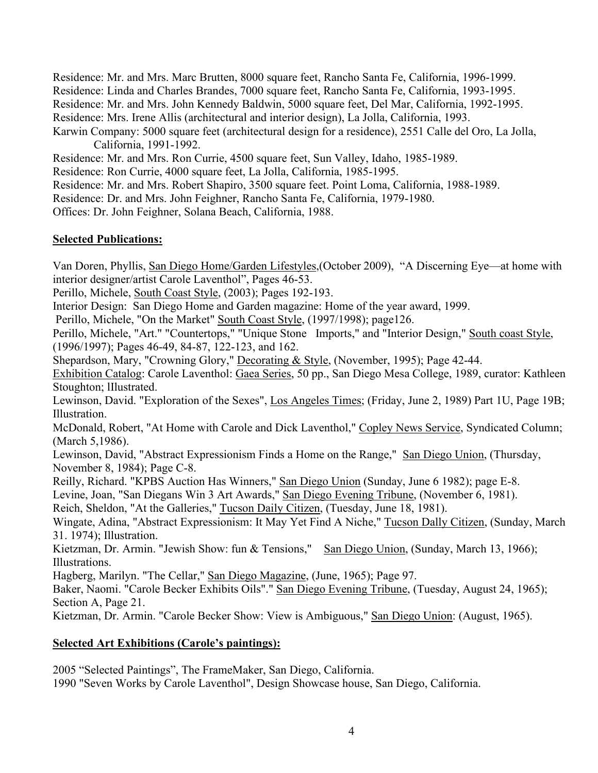Residence: Mr. and Mrs. Marc Brutten, 8000 square feet, Rancho Santa Fe, California, 1996-1999. Residence: Linda and Charles Brandes, 7000 square feet, Rancho Santa Fe, California, 1993-1995. Residence: Mr. and Mrs. John Kennedy Baldwin, 5000 square feet, Del Mar, California, 1992-1995. Residence: Mrs. Irene Allis (architectural and interior design), La Jolla, California, 1993. Karwin Company: 5000 square feet (architectural design for a residence), 2551 Calle del Oro, La Jolla,

California, 1991-1992.

Residence: Mr. and Mrs. Ron Currie, 4500 square feet, Sun Valley, Idaho, 1985-1989.

Residence: Ron Currie, 4000 square feet, La Jolla, California, 1985-1995.

Residence: Mr. and Mrs. Robert Shapiro, 3500 square feet. Point Loma, California, 1988-1989.

Residence: Dr. and Mrs. John Feighner, Rancho Santa Fe, California, 1979-1980.

Offices: Dr. John Feighner, Solana Beach, California, 1988.

#### **Selected Publications:**

Van Doren, Phyllis, San Diego Home/Garden Lifestyles,(October 2009), "A Discerning Eye—at home with interior designer/artist Carole Laventhol", Pages 46-53.

Perillo, Michele, South Coast Style, (2003); Pages 192-193.

Interior Design: San Diego Home and Garden magazine: Home of the year award, 1999.

Perillo, Michele, "On the Market" South Coast Style, (1997/1998); page126.

Perillo, Michele, "Art." "Countertops," "Unique Stone Imports," and "Interior Design," South coast Style, (1996/1997); Pages 46-49, 84-87, 122-123, and 162.

Shepardson, Mary, "Crowning Glory," Decorating & Style, (November, 1995); Page 42-44.

Exhibition Catalog: Carole Laventhol: Gaea Series, 50 pp., San Diego Mesa College, 1989, curator: Kathleen Stoughton; lIlustrated.

Lewinson, David. "Exploration of the Sexes", Los Angeles Times; (Friday, June 2, 1989) Part 1U, Page 19B; Illustration.

McDonald, Robert, "At Home with Carole and Dick Laventhol," Copley News Service, Syndicated Column; (March 5,1986).

Lewinson, David, "Abstract Expressionism Finds a Home on the Range," San Diego Union, (Thursday, November 8, 1984); Page C-8.

Reilly, Richard. "KPBS Auction Has Winners," San Diego Union (Sunday, June 6 1982); page E-8.

Levine, Joan, "San Diegans Win 3 Art Awards," San Diego Evening Tribune, (November 6, 1981).

Reich, Sheldon, "At the Galleries," Tucson Daily Citizen, (Tuesday, June 18, 1981).

Wingate, Adina, "Abstract Expressionism: It May Yet Find A Niche," Tucson Dally Citizen, (Sunday, March 31. 1974); Illustration.

Kietzman, Dr. Armin. "Jewish Show: fun & Tensions," San Diego Union, (Sunday, March 13, 1966); Illustrations.

Hagberg, Marilyn. "The Cellar," San Diego Magazine, (June, 1965); Page 97.

Baker, Naomi. "Carole Becker Exhibits Oils"." San Diego Evening Tribune, (Tuesday, August 24, 1965); Section A, Page 21.

Kietzman, Dr. Armin. "Carole Becker Show: View is Ambiguous," San Diego Union: (August, 1965).

## **Selected Art Exhibitions (Carole's paintings):**

2005 "Selected Paintings", The FrameMaker, San Diego, California. 1990 "Seven Works by Carole Laventhol", Design Showcase house, San Diego, California.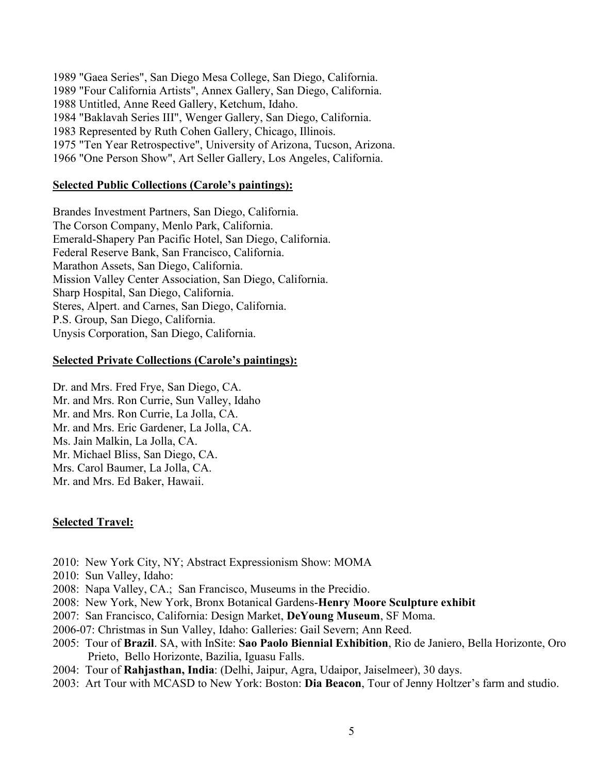1989 "Gaea Series", San Diego Mesa College, San Diego, California. 1989 "Four California Artists", Annex Gallery, San Diego, California. 1988 Untitled, Anne Reed Gallery, Ketchum, Idaho. 1984 "Baklavah Series III", Wenger Gallery, San Diego, California. 1983 Represented by Ruth Cohen Gallery, Chicago, Illinois. 1975 "Ten Year Retrospective", University of Arizona, Tucson, Arizona. 1966 "One Person Show", Art Seller Gallery, Los Angeles, California.

#### **Selected Public Collections (Carole's paintings):**

Brandes Investment Partners, San Diego, California. The Corson Company, Menlo Park, California. Emerald-Shapery Pan Pacific Hotel, San Diego, California. Federal Reserve Bank, San Francisco, California. Marathon Assets, San Diego, California. Mission Valley Center Association, San Diego, California. Sharp Hospital, San Diego, California. Steres, Alpert. and Carnes, San Diego, California. P.S. Group, San Diego, California. Unysis Corporation, San Diego, California.

#### **Selected Private Collections (Carole's paintings):**

Dr. and Mrs. Fred Frye, San Diego, CA. Mr. and Mrs. Ron Currie, Sun Valley, Idaho Mr. and Mrs. Ron Currie, La Jolla, CA. Mr. and Mrs. Eric Gardener, La Jolla, CA. Ms. Jain Malkin, La Jolla, CA. Mr. Michael Bliss, San Diego, CA. Mrs. Carol Baumer, La Jolla, CA. Mr. and Mrs. Ed Baker, Hawaii.

#### **Selected Travel:**

- 2010: New York City, NY; Abstract Expressionism Show: MOMA
- 2010: Sun Valley, Idaho:
- 2008: Napa Valley, CA.; San Francisco, Museums in the Precidio.
- 2008: New York, New York, Bronx Botanical Gardens-**Henry Moore Sculpture exhibit**
- 2007: San Francisco, California: Design Market, **DeYoung Museum**, SF Moma.
- 2006-07: Christmas in Sun Valley, Idaho: Galleries: Gail Severn; Ann Reed.
- 2005: Tour of **Brazil**. SA, with InSite: **Sao Paolo Biennial Exhibition**, Rio de Janiero, Bella Horizonte, Oro Prieto, Bello Horizonte, Bazilia, Iguasu Falls.
- 2004: Tour of **Rahjasthan, India**: (Delhi, Jaipur, Agra, Udaipor, Jaiselmeer), 30 days.
- 2003: Art Tour with MCASD to New York: Boston: **Dia Beacon**, Tour of Jenny Holtzer's farm and studio.